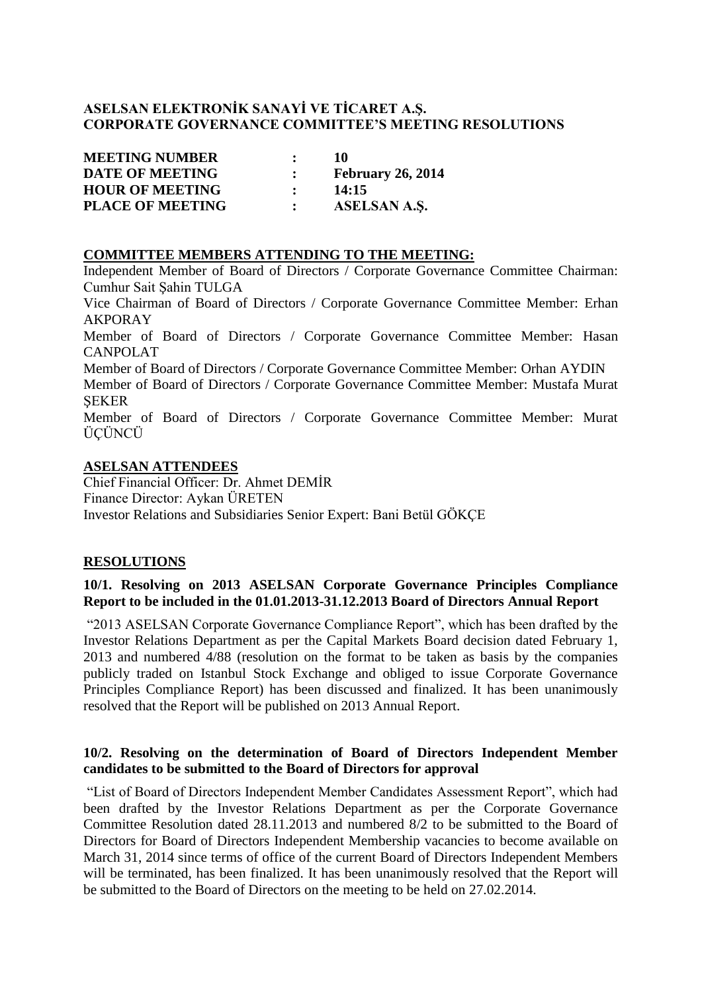# **ASELSAN ELEKTRONİK SANAYİ VE TİCARET A.Ş. CORPORATE GOVERNANCE COMMITTEE'S MEETING RESOLUTIONS**

| <b>MEETING NUMBER</b>   |               | -10                      |
|-------------------------|---------------|--------------------------|
| <b>DATE OF MEETING</b>  |               | <b>February 26, 2014</b> |
| <b>HOUR OF MEETING</b>  | $\mathcal{L}$ | 14:15                    |
| <b>PLACE OF MEETING</b> |               | ASELSAN A.S.             |

#### **COMMITTEE MEMBERS ATTENDING TO THE MEETING:**

Independent Member of Board of Directors / Corporate Governance Committee Chairman: Cumhur Sait Şahin TULGA

Vice Chairman of Board of Directors / Corporate Governance Committee Member: Erhan AKPORAY

Member of Board of Directors / Corporate Governance Committee Member: Hasan CANPOLAT

Member of Board of Directors / Corporate Governance Committee Member: Orhan AYDIN

Member of Board of Directors / Corporate Governance Committee Member: Mustafa Murat **SEKER** 

Member of Board of Directors / Corporate Governance Committee Member: Murat ÜÇÜNCÜ

### **ASELSAN ATTENDEES**

Chief Financial Officer: Dr. Ahmet DEMİR Finance Director: Aykan ÜRETEN Investor Relations and Subsidiaries Senior Expert: Bani Betül GÖKÇE

# **RESOLUTIONS**

# **10/1. Resolving on 2013 ASELSAN Corporate Governance Principles Compliance Report to be included in the 01.01.2013-31.12.2013 Board of Directors Annual Report**

"2013 ASELSAN Corporate Governance Compliance Report", which has been drafted by the Investor Relations Department as per the Capital Markets Board decision dated February 1, 2013 and numbered 4/88 (resolution on the format to be taken as basis by the companies publicly traded on Istanbul Stock Exchange and obliged to issue Corporate Governance Principles Compliance Report) has been discussed and finalized. It has been unanimously resolved that the Report will be published on 2013 Annual Report.

# **10/2. Resolving on the determination of Board of Directors Independent Member candidates to be submitted to the Board of Directors for approval**

"List of Board of Directors Independent Member Candidates Assessment Report", which had been drafted by the Investor Relations Department as per the Corporate Governance Committee Resolution dated 28.11.2013 and numbered 8/2 to be submitted to the Board of Directors for Board of Directors Independent Membership vacancies to become available on March 31, 2014 since terms of office of the current Board of Directors Independent Members will be terminated, has been finalized. It has been unanimously resolved that the Report will be submitted to the Board of Directors on the meeting to be held on 27.02.2014.